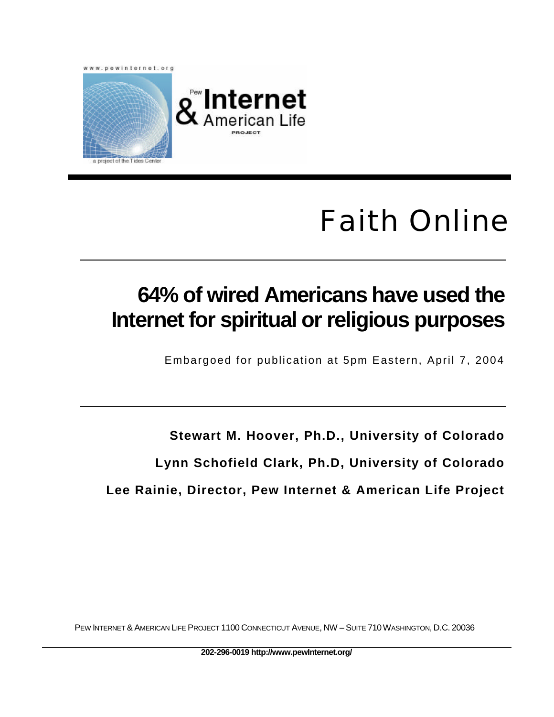

# Faith Online

## **64% of wired Americans have used the Internet for spiritual or religious purposes**

Embargoed for publication at 5pm Eastern, April 7, 2004

**Stewart M. Hoover, Ph.D., University of Colorado Lynn Schofield Clark, Ph.D, University of Colorado Lee Rainie, Director, Pew Internet & American Life Project**

PEW INTERNET & AMERICAN LIFE PROJECT 1100 CONNECTICUT AVENUE, NW – SUITE 710WASHINGTON, D.C. 20036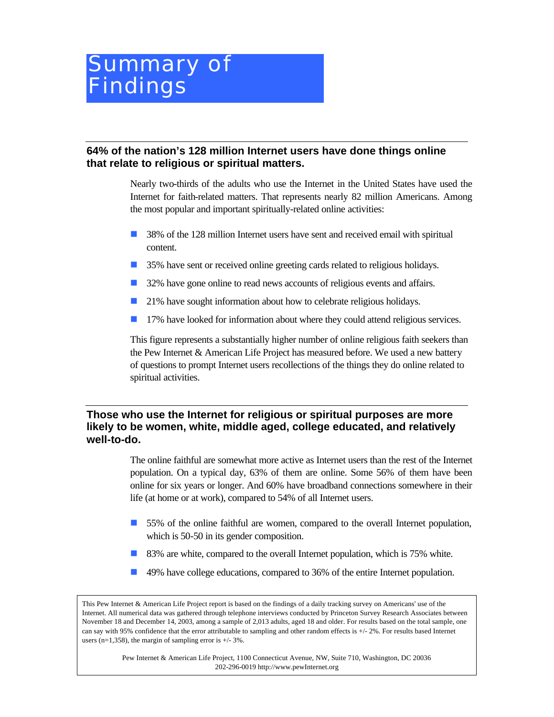### Summary of Findings

#### **64% of the nation's 128 million Internet users have done things online that relate to religious or spiritual matters.**

Nearly two-thirds of the adults who use the Internet in the United States have used the Internet for faith-related matters. That represents nearly 82 million Americans. Among the most popular and important spiritually-related online activities:

- **1** 38% of the 128 million Internet users have sent and received email with spiritual content.
- n 35% have sent or received online greeting cards related to religious holidays.
- **1** 32% have gone online to read news accounts of religious events and affairs.
- 21% have sought information about how to celebrate religious holidays.
- **n** 17% have looked for information about where they could attend religious services.

This figure represents a substantially higher number of online religious faith seekers than the Pew Internet & American Life Project has measured before. We used a new battery of questions to prompt Internet users recollections of the things they do online related to spiritual activities.

#### **Those who use the Internet for religious or spiritual purposes are more likely to be women, white, middle aged, college educated, and relatively well-to-do.**

The online faithful are somewhat more active as Internet users than the rest of the Internet population. On a typical day, 63% of them are online. Some 56% of them have been online for six years or longer. And 60% have broadband connections somewhere in their life (at home or at work), compared to 54% of all Internet users.

- n 55% of the online faithful are women, compared to the overall Internet population, which is 50-50 in its gender composition.
- **n** 83% are white, compared to the overall Internet population, which is 75% white.
- n 49% have college educations, compared to 36% of the entire Internet population.

This Pew Internet & American Life Project report is based on the findings of a daily tracking survey on Americans' use of the Internet. All numerical data was gathered through telephone interviews conducted by Princeton Survey Research Associates between November 18 and December 14, 2003, among a sample of 2,013 adults, aged 18 and older. For results based on the total sample, one can say with 95% confidence that the error attributable to sampling and other random effects is +/- 2%. For results based Internet users (n=1,358), the margin of sampling error is  $+/- 3\%$ .

> Pew Internet & American Life Project, 1100 Connecticut Avenue, NW, Suite 710, Washington, DC 20036 202-296-0019 http://www.pewInternet.org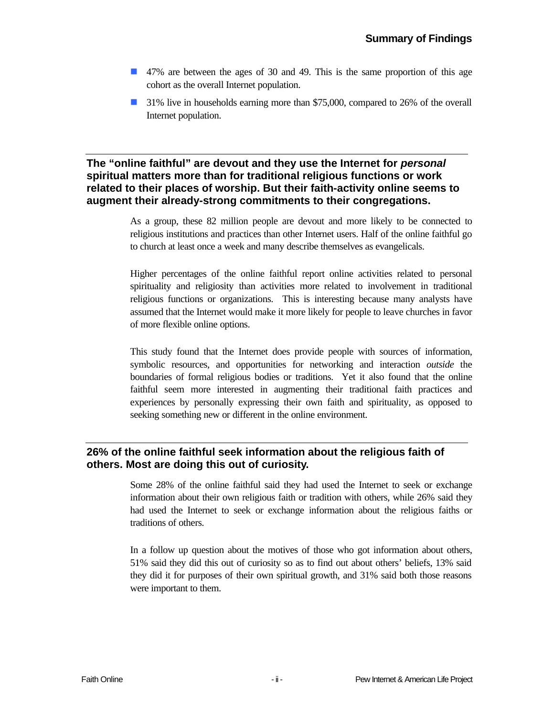- n 47% are between the ages of 30 and 49. This is the same proportion of this age cohort as the overall Internet population.
- **1** 31% live in households earning more than \$75,000, compared to 26% of the overall Internet population.

#### **The "online faithful" are devout and they use the Internet for** *personal* **spiritual matters more than for traditional religious functions or work related to their places of worship. But their faith-activity online seems to augment their already-strong commitments to their congregations.**

As a group, these 82 million people are devout and more likely to be connected to religious institutions and practices than other Internet users. Half of the online faithful go to church at least once a week and many describe themselves as evangelicals.

Higher percentages of the online faithful report online activities related to personal spirituality and religiosity than activities more related to involvement in traditional religious functions or organizations. This is interesting because many analysts have assumed that the Internet would make it more likely for people to leave churches in favor of more flexible online options.

This study found that the Internet does provide people with sources of information, symbolic resources, and opportunities for networking and interaction *outside* the boundaries of formal religious bodies or traditions. Yet it also found that the online faithful seem more interested in augmenting their traditional faith practices and experiences by personally expressing their own faith and spirituality, as opposed to seeking something new or different in the online environment.

#### **26% of the online faithful seek information about the religious faith of others. Most are doing this out of curiosity.**

Some 28% of the online faithful said they had used the Internet to seek or exchange information about their own religious faith or tradition with others, while 26% said they had used the Internet to seek or exchange information about the religious faiths or traditions of others.

In a follow up question about the motives of those who got information about others, 51% said they did this out of curiosity so as to find out about others' beliefs, 13% said they did it for purposes of their own spiritual growth, and 31% said both those reasons were important to them.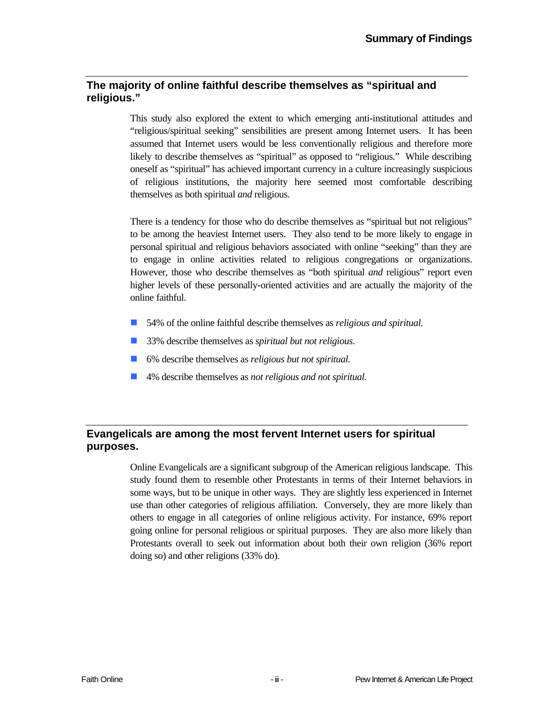#### **The majority of online faithful describe themselves as "spiritual and religious."**

This study also explored the extent to which emerging anti-institutional attitudes and "religious/spiritual seeking" sensibilities are present among Internet users. It has been assumed that Internet users would be less conventionally religious and therefore more likely to describe themselves as "spiritual" as opposed to "religious." While describing oneself as "spiritual" has achieved important currency in a culture increasingly suspicious of religious institutions, the majority here seemed most comfortable describing themselves as both spiritual *and* religious.

There is a tendency for those who do describe themselves as "spiritual but not religious" to be among the heaviest Internet users. They also tend to be more likely to engage in personal spiritual and religious behaviors associated with online "seeking" than they are to engage in online activities related to religious congregations or organizations. However, those who describe themselves as "both spiritual *and* religious" report even higher levels of these personally-oriented activities and are actually the majority of the online faithful.

- 54% of the online faithful describe themselves as *religious and spiritual*.
- 33% describe themselves as *spiritual but not religious*.
- 6% describe themselves as *religious but not spiritual*.
- 4% describe themselves as *not religious and not spiritual*.

#### **Evangelicals are among the most fervent Internet users for spiritual purposes.**

Online Evangelicals are a significant subgroup of the American religious landscape. This study found them to resemble other Protestants in terms of their Internet behaviors in some ways, but to be unique in other ways. They are slightly less experienced in Internet use than other categories of religious affiliation. Conversely, they are more likely than others to engage in all categories of online religious activity. For instance, 69% report going online for personal religious or spiritual purposes. They are also more likely than Protestants overall to seek out information about both their own religion (36% report doing so) and other religions (33% do).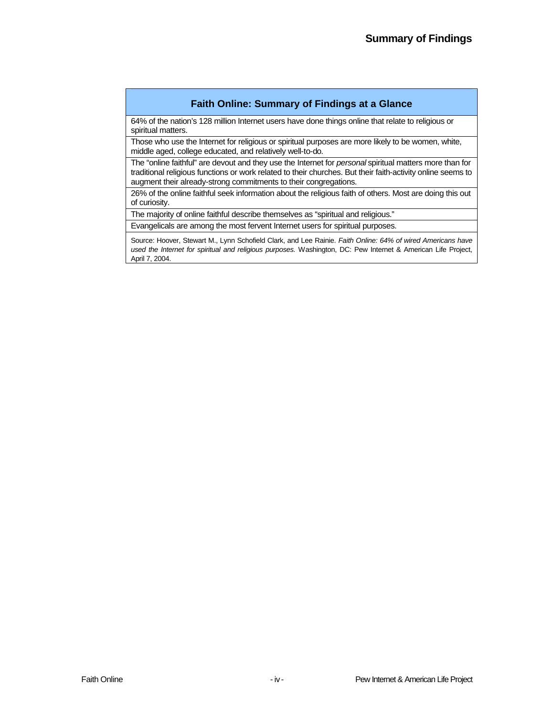#### **Faith Online: Summary of Findings at a Glance**

64% of the nation's 128 million Internet users have done things online that relate to religious or spiritual matters.

Those who use the Internet for religious or spiritual purposes are more likely to be women, white, middle aged, college educated, and relatively well-to-do.

The "online faithful" are devout and they use the Internet for *personal* spiritual matters more than for traditional religious functions or work related to their churches. But their faith-activity online seems to augment their already-strong commitments to their congregations.

26% of the online faithful seek information about the religious faith of others. Most are doing this out of curiosity.

The majority of online faithful describe themselves as "spiritual and religious."

Evangelicals are among the most fervent Internet users for spiritual purposes.

Source: Hoover, Stewart M., Lynn Schofield Clark, and Lee Rainie. *Faith Online: 64% of wired Americans have used the Internet for spiritual and religious purposes.* Washington, DC: Pew Internet & American Life Project, April 7, 2004.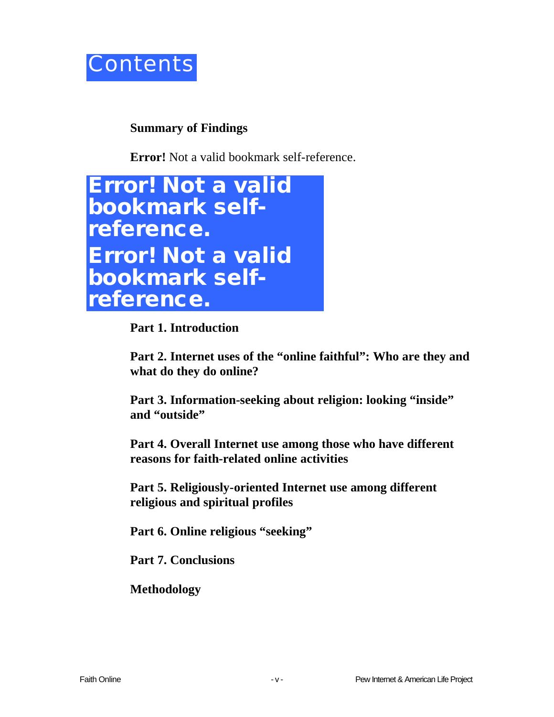

### **Summary of Findings**

**Error!** Not a valid bookmark self-reference.



**Part 1. Introduction**

**Part 2. Internet uses of the "online faithful": Who are they and what do they do online?** 

**Part 3. Information-seeking about religion: looking "inside" and "outside"** 

**Part 4. Overall Internet use among those who have different reasons for faith-related online activities** 

**Part 5. Religiously-oriented Internet use among different religious and spiritual profiles** 

**Part 6. Online religious "seeking"**

**Part 7. Conclusions**

**Methodology**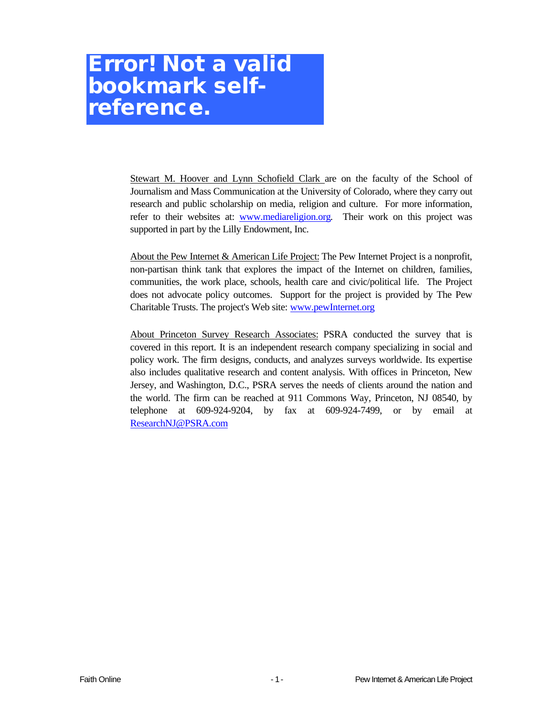### **Error! Not a valid bookmark selfreference.**

Stewart M. Hoover and Lynn Schofield Clark are on the faculty of the School of Journalism and Mass Communication at the University of Colorado, where they carry out research and public scholarship on media, religion and culture. For more information, refer to their websites at: www.mediareligion.org. Their work on this project was supported in part by the Lilly Endowment, Inc.

About the Pew Internet & American Life Project: The Pew Internet Project is a nonprofit, non-partisan think tank that explores the impact of the Internet on children, families, communities, the work place, schools, health care and civic/political life. The Project does not advocate policy outcomes. Support for the project is provided by The Pew Charitable Trusts. The project's Web site: www.pewInternet.org

About Princeton Survey Research Associates: PSRA conducted the survey that is covered in this report. It is an independent research company specializing in social and policy work. The firm designs, conducts, and analyzes surveys worldwide. Its expertise also includes qualitative research and content analysis. With offices in Princeton, New Jersey, and Washington, D.C., PSRA serves the needs of clients around the nation and the world. The firm can be reached at 911 Commons Way, Princeton, NJ 08540, by telephone at 609-924-9204, by fax at 609-924-7499, or by email at ResearchNJ@PSRA.com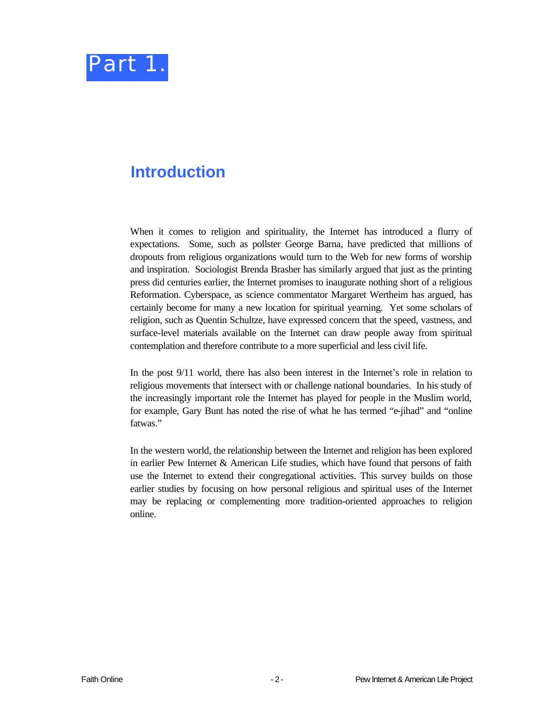

### **Introduction**

When it comes to religion and spirituality, the Internet has introduced a flurry of expectations. Some, such as pollster George Barna, have predicted that millions of dropouts from religious organizations would turn to the Web for new forms of worship and inspiration. Sociologist Brenda Brasher has similarly argued that just as the printing press did centuries earlier, the Internet promises to inaugurate nothing short of a religious Reformation. Cyberspace, as science commentator Margaret Wertheim has argued, has certainly become for many a new location for spiritual yearning. Yet some scholars of religion, such as Quentin Schultze, have expressed concern that the speed, vastness, and surface-level materials available on the Internet can draw people away from spiritual contemplation and therefore contribute to a more superficial and less civil life.

In the post 9/11 world, there has also been interest in the Internet's role in relation to religious movements that intersect with or challenge national boundaries. In his study of the increasingly important role the Internet has played for people in the Muslim world, for example, Gary Bunt has noted the rise of what he has termed "e-jihad" and "online fatwas."

In the western world, the relationship between the Internet and religion has been explored in earlier Pew Internet & American Life studies, which have found that persons of faith use the Internet to extend their congregational activities. This survey builds on those earlier studies by focusing on how personal religious and spiritual uses of the Internet may be replacing or complementing more tradition-oriented approaches to religion online.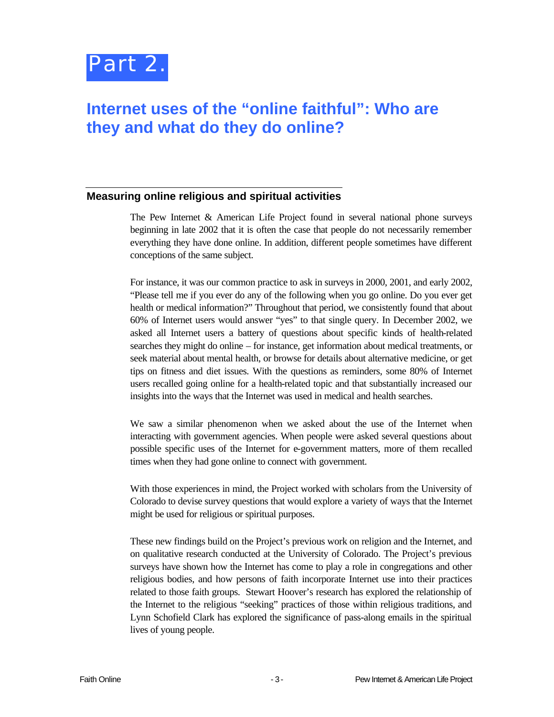

### **Internet uses of the "online faithful": Who are they and what do they do online?**

#### **Measuring online religious and spiritual activities**

The Pew Internet & American Life Project found in several national phone surveys beginning in late 2002 that it is often the case that people do not necessarily remember everything they have done online. In addition, different people sometimes have different conceptions of the same subject.

For instance, it was our common practice to ask in surveys in 2000, 2001, and early 2002, "Please tell me if you ever do any of the following when you go online. Do you ever get health or medical information?" Throughout that period, we consistently found that about 60% of Internet users would answer "yes" to that single query. In December 2002, we asked all Internet users a battery of questions about specific kinds of health-related searches they might do online – for instance, get information about medical treatments, or seek material about mental health, or browse for details about alternative medicine, or get tips on fitness and diet issues. With the questions as reminders, some 80% of Internet users recalled going online for a health-related topic and that substantially increased our insights into the ways that the Internet was used in medical and health searches.

We saw a similar phenomenon when we asked about the use of the Internet when interacting with government agencies. When people were asked several questions about possible specific uses of the Internet for e-government matters, more of them recalled times when they had gone online to connect with government.

With those experiences in mind, the Project worked with scholars from the University of Colorado to devise survey questions that would explore a variety of ways that the Internet might be used for religious or spiritual purposes.

These new findings build on the Project's previous work on religion and the Internet, and on qualitative research conducted at the University of Colorado. The Project's previous surveys have shown how the Internet has come to play a role in congregations and other religious bodies, and how persons of faith incorporate Internet use into their practices related to those faith groups. Stewart Hoover's research has explored the relationship of the Internet to the religious "seeking" practices of those within religious traditions, and Lynn Schofield Clark has explored the significance of pass-along emails in the spiritual lives of young people.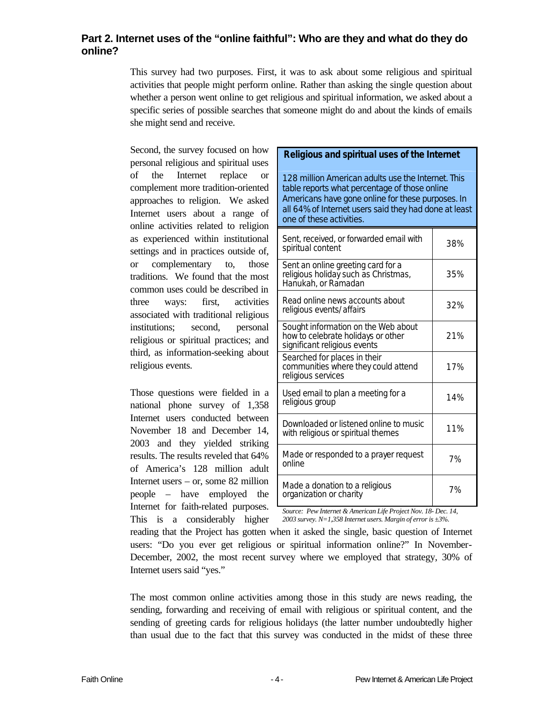#### **Part 2. Internet uses of the "online faithful": Who are they and what do they do online?**

This survey had two purposes. First, it was to ask about some religious and spiritual activities that people might perform online. Rather than asking the single question about whether a person went online to get religious and spiritual information, we asked about a specific series of possible searches that someone might do and about the kinds of emails she might send and receive.

Second, the survey focused on how personal religious and spiritual uses of the Internet replace or complement more tradition-oriented approaches to religion. We asked Internet users about a range of online activities related to religion as experienced within institutional settings and in practices outside of, or complementary to, those traditions. We found that the most common uses could be described in three ways: first, activities associated with traditional religious institutions; second, personal religious or spiritual practices; and third, as information-seeking about religious events.

Those questions were fielded in a national phone survey of 1,358 Internet users conducted between November 18 and December 14, 2003 and they yielded striking results. The results reveled that 64% of America's 128 million adult Internet users – or, some 82 million people – have employed the Internet for faith-related purposes. This is a considerably higher

#### **Religious and spiritual uses of the Internet**

*128 million American adults use the Internet. This table reports what percentage of those online Americans have gone online for these purposes. In all 64% of Internet users said they had done at least one of these activities.* 

| Sent, received, or forwarded email with<br>spiritual content                                              | 38% |
|-----------------------------------------------------------------------------------------------------------|-----|
| Sent an online greeting card for a<br>religious holiday such as Christmas,<br>Hanukah, or Ramadan         | 35% |
| Read online news accounts about<br>religious events/affairs                                               | 32% |
| Sought information on the Web about<br>how to celebrate holidays or other<br>significant religious events | 21% |
| Searched for places in their<br>communities where they could attend<br>religious services                 | 17% |
| Used email to plan a meeting for a<br>religious group                                                     | 14% |
| Downloaded or listened online to music<br>with religious or spiritual themes                              | 11% |
| Made or responded to a prayer request<br>online                                                           | 7%  |
| Made a donation to a religious<br>organization or charity                                                 | 7%  |

*Source: Pew Internet & American Life Project Nov. 18- Dec. 14, 2003 survey. N=1,358 Internet users. Margin of error is ±3%.*

reading that the Project has gotten when it asked the single, basic question of Internet users: "Do you ever get religious or spiritual information online?" In November-December, 2002, the most recent survey where we employed that strategy, 30% of Internet users said "yes."

The most common online activities among those in this study are news reading, the sending, forwarding and receiving of email with religious or spiritual content, and the sending of greeting cards for religious holidays (the latter number undoubtedly higher than usual due to the fact that this survey was conducted in the midst of these three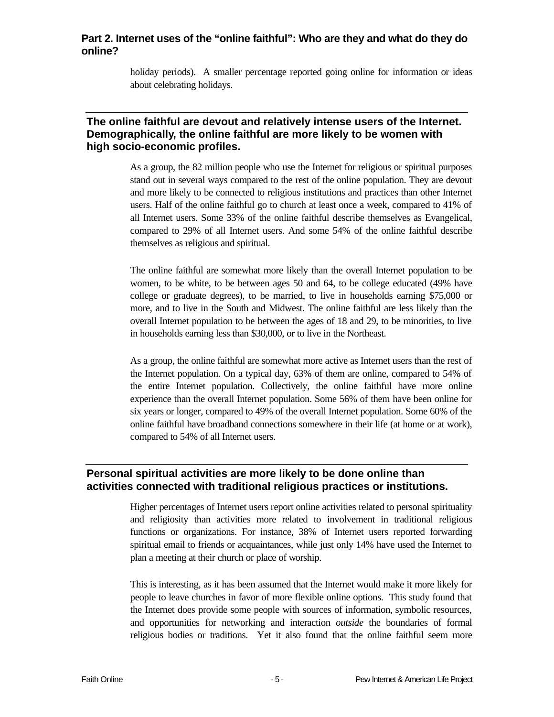#### **Part 2. Internet uses of the "online faithful": Who are they and what do they do online?**

holiday periods). A smaller percentage reported going online for information or ideas about celebrating holidays.

#### **The online faithful are devout and relatively intense users of the Internet. Demographically, the online faithful are more likely to be women with high socio-economic profiles.**

As a group, the 82 million people who use the Internet for religious or spiritual purposes stand out in several ways compared to the rest of the online population. They are devout and more likely to be connected to religious institutions and practices than other Internet users. Half of the online faithful go to church at least once a week, compared to 41% of all Internet users. Some 33% of the online faithful describe themselves as Evangelical, compared to 29% of all Internet users. And some 54% of the online faithful describe themselves as religious and spiritual.

The online faithful are somewhat more likely than the overall Internet population to be women, to be white, to be between ages 50 and 64, to be college educated (49% have college or graduate degrees), to be married, to live in households earning \$75,000 or more, and to live in the South and Midwest. The online faithful are less likely than the overall Internet population to be between the ages of 18 and 29, to be minorities, to live in households earning less than \$30,000, or to live in the Northeast.

As a group, the online faithful are somewhat more active as Internet users than the rest of the Internet population. On a typical day, 63% of them are online, compared to 54% of the entire Internet population. Collectively, the online faithful have more online experience than the overall Internet population. Some 56% of them have been online for six years or longer, compared to 49% of the overall Internet population. Some 60% of the online faithful have broadband connections somewhere in their life (at home or at work), compared to 54% of all Internet users.

#### **Personal spiritual activities are more likely to be done online than activities connected with traditional religious practices or institutions.**

Higher percentages of Internet users report online activities related to personal spirituality and religiosity than activities more related to involvement in traditional religious functions or organizations. For instance, 38% of Internet users reported forwarding spiritual email to friends or acquaintances, while just only 14% have used the Internet to plan a meeting at their church or place of worship.

This is interesting, as it has been assumed that the Internet would make it more likely for people to leave churches in favor of more flexible online options. This study found that the Internet does provide some people with sources of information, symbolic resources, and opportunities for networking and interaction *outside* the boundaries of formal religious bodies or traditions. Yet it also found that the online faithful seem more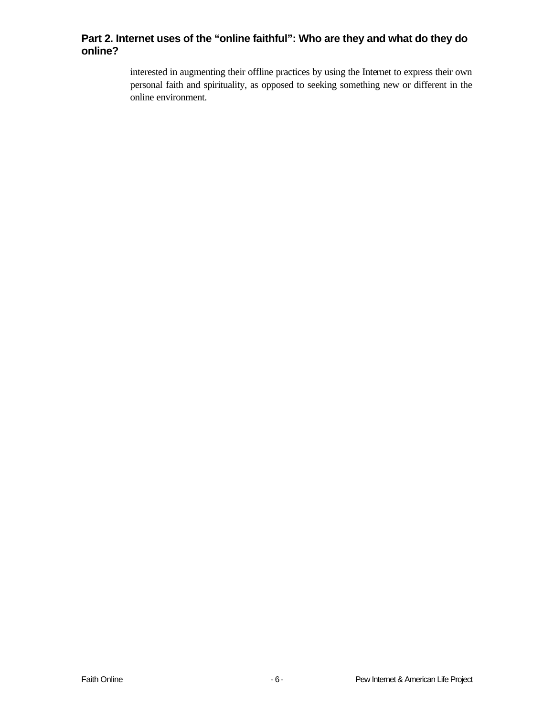#### **Part 2. Internet uses of the "online faithful": Who are they and what do they do online?**

interested in augmenting their offline practices by using the Internet to express their own personal faith and spirituality, as opposed to seeking something new or different in the online environment.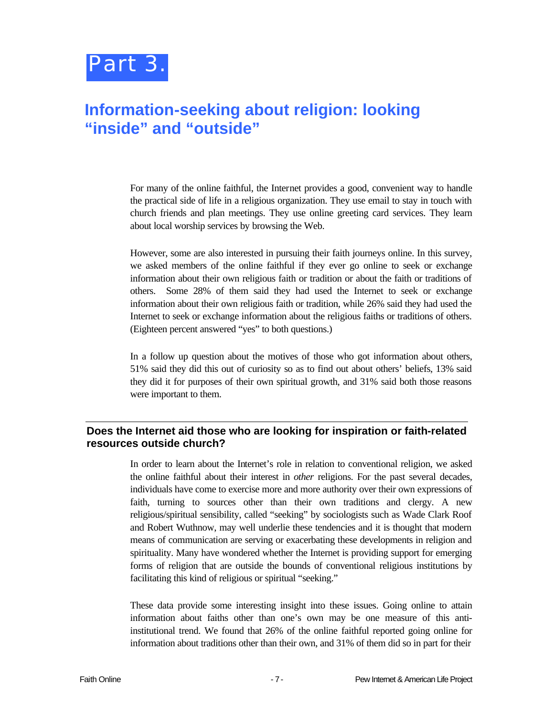

### **Information-seeking about religion: looking "inside" and "outside"**

For many of the online faithful, the Internet provides a good, convenient way to handle the practical side of life in a religious organization. They use email to stay in touch with church friends and plan meetings. They use online greeting card services. They learn about local worship services by browsing the Web.

However, some are also interested in pursuing their faith journeys online. In this survey, we asked members of the online faithful if they ever go online to seek or exchange information about their own religious faith or tradition or about the faith or traditions of others. Some 28% of them said they had used the Internet to seek or exchange information about their own religious faith or tradition, while 26% said they had used the Internet to seek or exchange information about the religious faiths or traditions of others. (Eighteen percent answered "yes" to both questions.)

In a follow up question about the motives of those who got information about others, 51% said they did this out of curiosity so as to find out about others' beliefs, 13% said they did it for purposes of their own spiritual growth, and 31% said both those reasons were important to them.

#### **Does the Internet aid those who are looking for inspiration or faith-related resources outside church?**

In order to learn about the Internet's role in relation to conventional religion, we asked the online faithful about their interest in *other* religions. For the past several decades, individuals have come to exercise more and more authority over their own expressions of faith, turning to sources other than their own traditions and clergy. A new religious/spiritual sensibility, called "seeking" by sociologists such as Wade Clark Roof and Robert Wuthnow, may well underlie these tendencies and it is thought that modern means of communication are serving or exacerbating these developments in religion and spirituality. Many have wondered whether the Internet is providing support for emerging forms of religion that are outside the bounds of conventional religious institutions by facilitating this kind of religious or spiritual "seeking."

These data provide some interesting insight into these issues. Going online to attain information about faiths other than one's own may be one measure of this antiinstitutional trend. We found that 26% of the online faithful reported going online for information about traditions other than their own, and 31% of them did so in part for their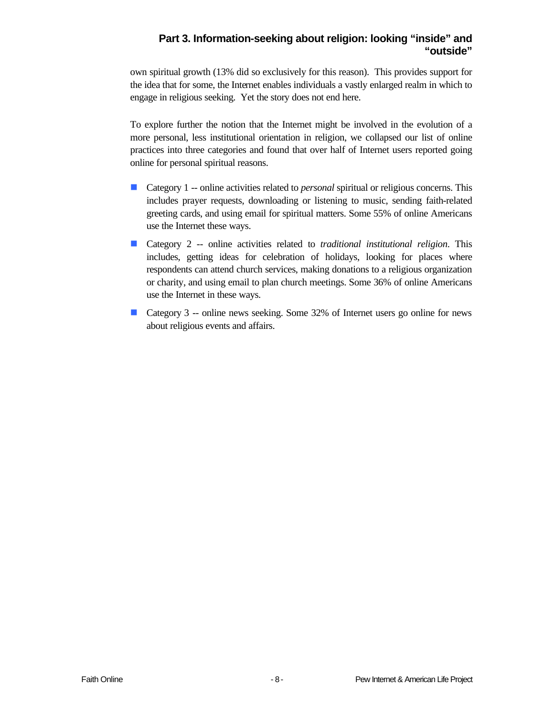#### **Part 3. Information-seeking about religion: looking "inside" and "outside"**

own spiritual growth (13% did so exclusively for this reason). This provides support for the idea that for some, the Internet enables individuals a vastly enlarged realm in which to engage in religious seeking. Yet the story does not end here.

To explore further the notion that the Internet might be involved in the evolution of a more personal, less institutional orientation in religion, we collapsed our list of online practices into three categories and found that over half of Internet users reported going online for personal spiritual reasons.

- Category 1 -- online activities related to *personal* spiritual or religious concerns. This includes prayer requests, downloading or listening to music, sending faith-related greeting cards, and using email for spiritual matters. Some 55% of online Americans use the Internet these ways.
- Category 2 -- online activities related to *traditional institutional religion*. This includes, getting ideas for celebration of holidays, looking for places where respondents can attend church services, making donations to a religious organization or charity, and using email to plan church meetings. Some 36% of online Americans use the Internet in these ways.
- Category 3 -- online news seeking. Some 32% of Internet users go online for news about religious events and affairs.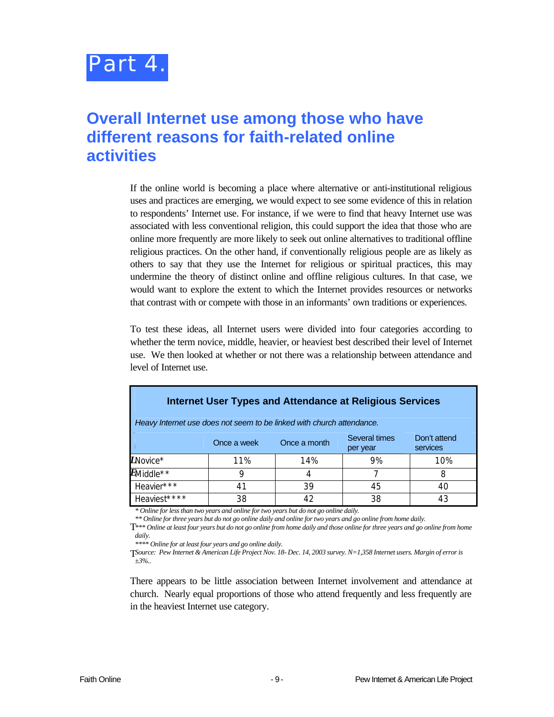

### **Overall Internet use among those who have different reasons for faith-related online activities**

If the online world is becoming a place where alternative or anti-institutional religious uses and practices are emerging, we would expect to see some evidence of this in relation to respondents' Internet use. For instance, if we were to find that heavy Internet use was associated with less conventional religion, this could support the idea that those who are online more frequently are more likely to seek out online alternatives to traditional offline religious practices. On the other hand, if conventionally religious people are as likely as others to say that they use the Internet for religious or spiritual practices, this may undermine the theory of distinct online and offline religious cultures. In that case, we would want to explore the extent to which the Internet provides resources or networks that contrast with or compete with those in an informants' own traditions or experiences.

To test these ideas, all Internet users were divided into four categories according to whether the term novice, middle, heavier, or heaviest best described their level of Internet use. We then looked at whether or not there was a relationship between attendance and level of Internet use.

| Internet User Types and Attendance at Religious Services<br>Heavy Internet use does not seem to be linked with church attendance.                                                                                                                        |     |     |    |     |
|----------------------------------------------------------------------------------------------------------------------------------------------------------------------------------------------------------------------------------------------------------|-----|-----|----|-----|
| Several times<br>Don't attend<br>Once a month<br>Once a week<br>services<br>per year                                                                                                                                                                     |     |     |    |     |
| $L$ Novice*                                                                                                                                                                                                                                              | 11% | 14% | 9% | 10% |
| $E$ Middle**                                                                                                                                                                                                                                             | g   | 4   |    | 8   |
| Heavier***                                                                                                                                                                                                                                               | 41  | 39  | 45 | 40  |
| Heaviest****<br>$\star$ $\alpha$ if $\alpha$ is a set of the set of the set of the function of the set of the set of the set of the set of the set of the set of the set of the set of the set of the set of the set of the set of the set of the set of | 38  | 42  | 38 | 43  |

*\* Online for less than two years and online for two years but do not go online daily.*

*\*\* Online for three years but do not go online daily and online for two years and go online from home daily.*

T *\*\*\* Online at least four years but do not go online from home daily and those online for three years and go online from home daily.*

*\*\*\*\* Online for at least four years and go online daily.* 

T *Source: Pew Internet & American Life Project Nov. 18- Dec. 14, 2003 survey. N=1,358 Internet users. Margin of error is ±3%..*

There appears to be little association between Internet involvement and attendance at church. Nearly equal proportions of those who attend frequently and less frequently are in the heaviest Internet use category.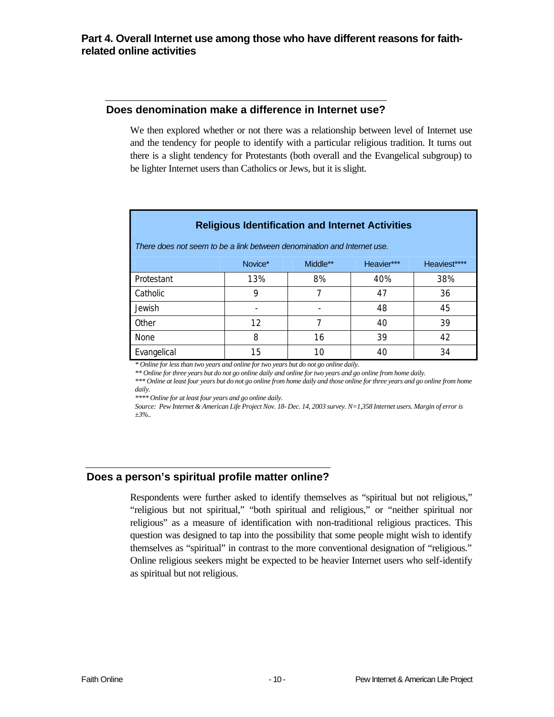#### **Does denomination make a difference in Internet use?**

We then explored whether or not there was a relationship between level of Internet use and the tendency for people to identify with a particular religious tradition. It turns out there is a slight tendency for Protestants (both overall and the Evangelical subgroup) to be lighter Internet users than Catholics or Jews, but it is slight.

| <b>Religious Identification and Internet Activities</b><br>There does not seem to be a link between denomination and Internet use. |         |          |            |              |
|------------------------------------------------------------------------------------------------------------------------------------|---------|----------|------------|--------------|
|                                                                                                                                    | Novice* | Middle** | Heavier*** | Heaviest**** |
| Protestant                                                                                                                         | 13%     | 8%       | 40%        | 38%          |
| Catholic                                                                                                                           | 9       | 7        | 47         | 36           |
| Jewish                                                                                                                             |         |          | 48         | 45           |
| Other                                                                                                                              | 12      |          | 40         | 39           |
| <b>None</b>                                                                                                                        | 8       | 16       | 39         | 42           |
| Evangelical                                                                                                                        | 15      | 10       | 40         | 34           |

*\* Online for less than two years and online for two years but do not go online daily.*

*\*\* Online for three years but do not go online daily and online for two years and go online from home daily.*

*\*\*\* Online at least four years but do not go online from home daily and those online for three years and go online from home daily.*

*\*\*\*\* Online for at least four years and go online daily.* 

*Source: Pew Internet & American Life Project Nov. 18- Dec. 14, 2003 survey. N=1,358 Internet users. Margin of error is ±3%..*

#### **Does a person's spiritual profile matter online?**

Respondents were further asked to identify themselves as "spiritual but not religious," "religious but not spiritual," "both spiritual and religious," or "neither spiritual nor religious" as a measure of identification with non-traditional religious practices. This question was designed to tap into the possibility that some people might wish to identify themselves as "spiritual" in contrast to the more conventional designation of "religious." Online religious seekers might be expected to be heavier Internet users who self-identify as spiritual but not religious.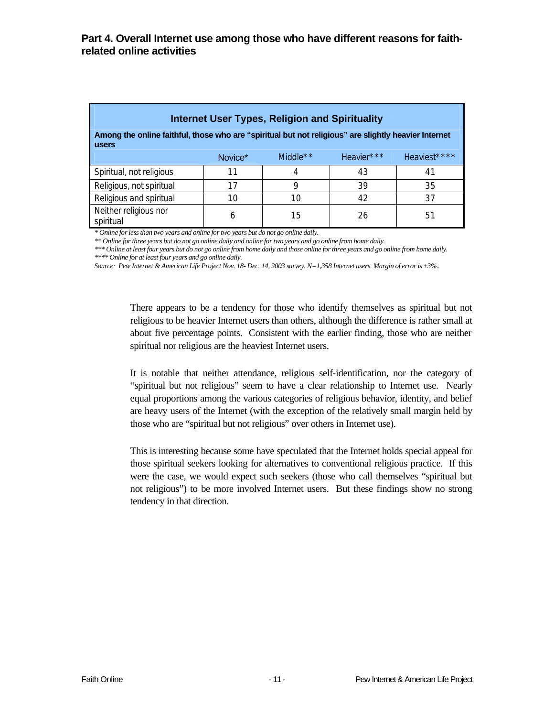| <b>Internet User Types, Religion and Spirituality</b>                                                                |         |             |            |              |  |
|----------------------------------------------------------------------------------------------------------------------|---------|-------------|------------|--------------|--|
| Among the online faithful, those who are "spiritual but not religious" are slightly heavier Internet<br><b>users</b> |         |             |            |              |  |
|                                                                                                                      | Novice* | Middle $**$ | Heavier*** | Heaviest**** |  |
| Spiritual, not religious                                                                                             | 11      | 4           | 43         | 41           |  |
| Religious, not spiritual                                                                                             | 17      | Q           | 39         | 35           |  |
| Religious and spiritual                                                                                              | 10      | 10          | 42         | 37           |  |
| Neither religious nor<br>spiritual                                                                                   | 6       | 15          | 26         | 51           |  |

*\* Online for less than two years and online for two years but do not go online daily.*

*\*\* Online for three years but do not go online daily and online for two years and go online from home daily.*

*\*\*\* Online at least four years but do not go online from home daily and those online for three years and go online from home daily. \*\*\*\* Online for at least four years and go online daily.* 

*Source: Pew Internet & American Life Project Nov. 18- Dec. 14, 2003 survey. N=1,358 Internet users. Margin of error is ±3%..*

There appears to be a tendency for those who identify themselves as spiritual but not religious to be heavier Internet users than others, although the difference is rather small at about five percentage points. Consistent with the earlier finding, those who are neither spiritual nor religious are the heaviest Internet users.

It is notable that neither attendance, religious self-identification, nor the category of "spiritual but not religious" seem to have a clear relationship to Internet use. Nearly equal proportions among the various categories of religious behavior, identity, and belief are heavy users of the Internet (with the exception of the relatively small margin held by those who are "spiritual but not religious" over others in Internet use).

This is interesting because some have speculated that the Internet holds special appeal for those spiritual seekers looking for alternatives to conventional religious practice. If this were the case, we would expect such seekers (those who call themselves "spiritual but not religious") to be more involved Internet users. But these findings show no strong tendency in that direction.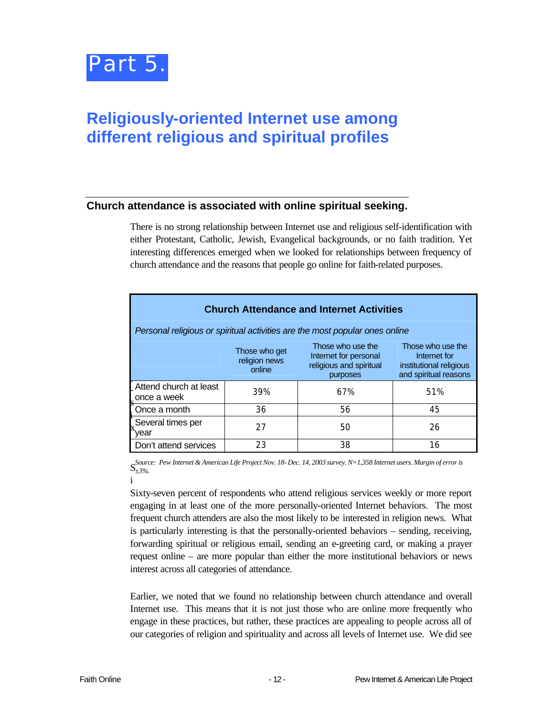

### **Religiously-oriented Internet use among different religious and spiritual profiles**

#### **Church attendance is associated with online spiritual seeking.**

There is no strong relationship between Internet use and religious self-identification with either Protestant, Catholic, Jewish, Evangelical backgrounds, or no faith tradition. Yet interesting differences emerged when we looked for relationships between frequency of church attendance and the reasons that people go online for faith-related purposes.

| <b>Church Attendance and Internet Activities</b>                                                                                                                                                                       |     |                                                                             |     |  |
|------------------------------------------------------------------------------------------------------------------------------------------------------------------------------------------------------------------------|-----|-----------------------------------------------------------------------------|-----|--|
|                                                                                                                                                                                                                        |     | Personal religious or spiritual activities are the most popular ones online |     |  |
| Those who use the<br>Those who use the<br>Those who get<br>Internet for personal<br>Internet for<br>religion news<br>religious and spiritual<br>institutional religious<br>online<br>and spiritual reasons<br>purposes |     |                                                                             |     |  |
| Attend church at least<br>s once a week                                                                                                                                                                                | 39% | 67%                                                                         | 51% |  |
| . Once a month                                                                                                                                                                                                         | 36  | 56                                                                          | 45  |  |
| Several times per<br>vear                                                                                                                                                                                              | 27  | 50                                                                          | 26  |  |
| Don't attend services                                                                                                                                                                                                  | 23  | 38                                                                          | 16  |  |

S<sup>Source:</sup> Pew Internet & American Life Project Nov. 18- Dec. 14, 2003 survey. N=1,358 Internet users. Margin of error is<br>S<sub>+3%</sub> *±3%.*

i

Sixty-seven percent of respondents who attend religious services weekly or more report engaging in at least one of the more personally-oriented Internet behaviors. The most frequent church attenders are also the most likely to be interested in religion news. What is particularly interesting is that the personally-oriented behaviors – sending, receiving, forwarding spiritual or religious email, sending an e-greeting card, or making a prayer request online – are more popular than either the more institutional behaviors or news interest across all categories of attendance.

Earlier, we noted that we found no relationship between church attendance and overall Internet use. This means that it is not just those who are online more frequently who engage in these practices, but rather, these practices are appealing to people across all of our categories of religion and spirituality and across all levels of Internet use. We did see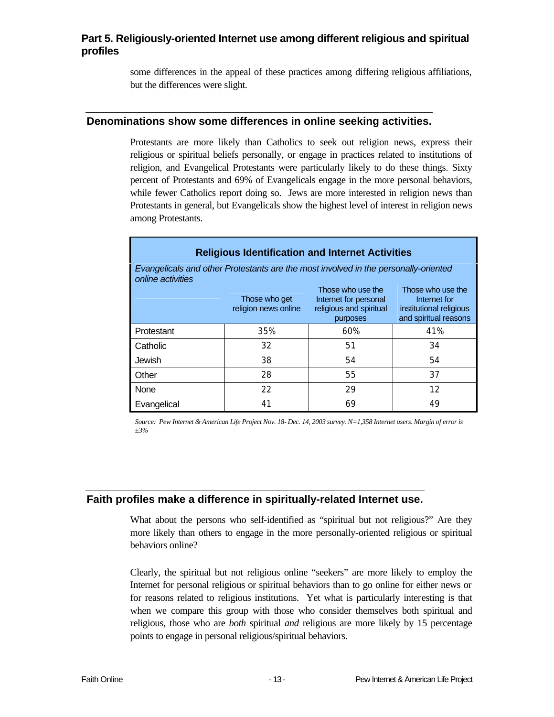#### **Part 5. Religiously-oriented Internet use among different religious and spiritual profiles**

some differences in the appeal of these practices among differing religious affiliations, but the differences were slight.

#### **Denominations show some differences in online seeking activities.**

Protestants are more likely than Catholics to seek out religion news, express their religious or spiritual beliefs personally, or engage in practices related to institutions of religion, and Evangelical Protestants were particularly likely to do these things. Sixty percent of Protestants and 69% of Evangelicals engage in the more personal behaviors, while fewer Catholics report doing so. Jews are more interested in religion news than Protestants in general, but Evangelicals show the highest level of interest in religion news among Protestants.

| <b>Religious Identification and Internet Activities</b>                                                  |                                                                                                                                                                                                                     |     |     |  |  |
|----------------------------------------------------------------------------------------------------------|---------------------------------------------------------------------------------------------------------------------------------------------------------------------------------------------------------------------|-----|-----|--|--|
| Evangelicals and other Protestants are the most involved in the personally-oriented<br>online activities |                                                                                                                                                                                                                     |     |     |  |  |
|                                                                                                          | Those who use the<br>Those who use the<br>Internet for personal<br>Those who get<br>Internet for<br>religion news online<br>religious and spiritual<br>institutional religious<br>and spiritual reasons<br>purposes |     |     |  |  |
| Protestant                                                                                               | 35%                                                                                                                                                                                                                 | 60% | 41% |  |  |
| Catholic                                                                                                 | 32                                                                                                                                                                                                                  | 51  | 34  |  |  |
| <b>Jewish</b>                                                                                            | 38                                                                                                                                                                                                                  | 54  | 54  |  |  |
| Other                                                                                                    | 28                                                                                                                                                                                                                  | 55  | 37  |  |  |
| None                                                                                                     | 22                                                                                                                                                                                                                  | 29  | 12  |  |  |
| Evangelical                                                                                              | 41                                                                                                                                                                                                                  | 69  | 49  |  |  |

*Source: Pew Internet & American Life Project Nov. 18- Dec. 14, 2003 survey. N=1,358 Internet users. Margin of error is ±3%*

#### **Faith profiles make a difference in spiritually-related Internet use.**

What about the persons who self-identified as "spiritual but not religious?" Are they more likely than others to engage in the more personally-oriented religious or spiritual behaviors online?

Clearly, the spiritual but not religious online "seekers" are more likely to employ the Internet for personal religious or spiritual behaviors than to go online for either news or for reasons related to religious institutions. Yet what is particularly interesting is that when we compare this group with those who consider themselves both spiritual and religious, those who are *both* spiritual *and* religious are more likely by 15 percentage points to engage in personal religious/spiritual behaviors.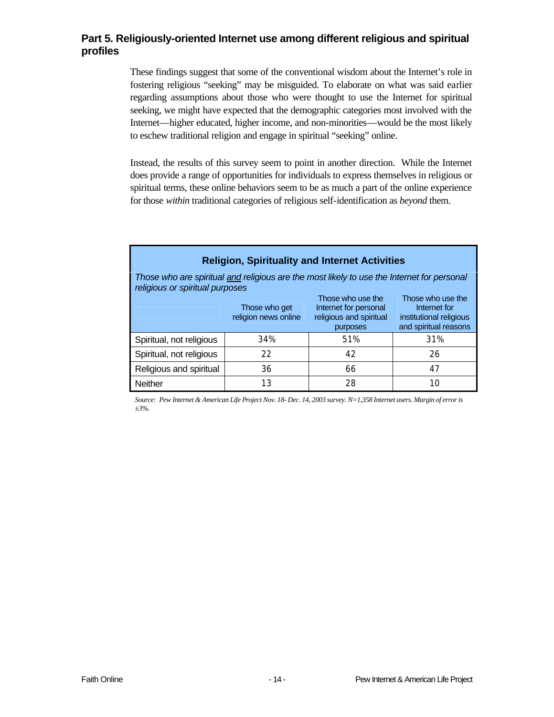#### **Part 5. Religiously-oriented Internet use among different religious and spiritual profiles**

These findings suggest that some of the conventional wisdom about the Internet's role in fostering religious "seeking" may be misguided. To elaborate on what was said earlier regarding assumptions about those who were thought to use the Internet for spiritual seeking, we might have expected that the demographic categories most involved with the Internet—higher educated, higher income, and non-minorities—would be the most likely to eschew traditional religion and engage in spiritual "seeking" online.

Instead, the results of this survey seem to point in another direction. While the Internet does provide a range of opportunities for individuals to express themselves in religious or spiritual terms, these online behaviors seem to be as much a part of the online experience for those *within* traditional categories of religious self-identification as *beyond* them.

#### **Religion, Spirituality and Internet Activities**

*Those who are spiritual and religious are the most likely to use the Internet for personal religious or spiritual purposes*

|                          | Those who get<br>religion news online | Those who use the<br>Internet for personal<br>religious and spiritual<br>purposes | Those who use the<br>Internet for<br>institutional religious<br>and spiritual reasons |
|--------------------------|---------------------------------------|-----------------------------------------------------------------------------------|---------------------------------------------------------------------------------------|
| Spiritual, not religious | 34%                                   | 51%                                                                               | 31%                                                                                   |
| Spiritual, not religious | 22                                    | 42                                                                                | 26                                                                                    |
| Religious and spiritual  | 36                                    | 66                                                                                | 47                                                                                    |
| <b>Neither</b>           | 13                                    | 28                                                                                | 10                                                                                    |

*Source: Pew Internet & American Life Project Nov. 18- Dec. 14, 2003 survey. N=1,358 Internet users. Margin of error is ±3%.*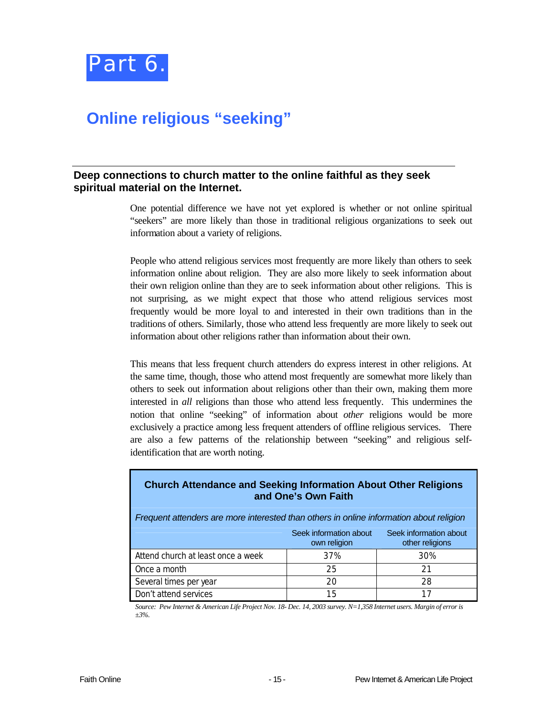

### **Online religious "seeking"**

#### **Deep connections to church matter to the online faithful as they seek spiritual material on the Internet.**

One potential difference we have not yet explored is whether or not online spiritual "seekers" are more likely than those in traditional religious organizations to seek out information about a variety of religions.

People who attend religious services most frequently are more likely than others to seek information online about religion. They are also more likely to seek information about their own religion online than they are to seek information about other religions. This is not surprising, as we might expect that those who attend religious services most frequently would be more loyal to and interested in their own traditions than in the traditions of others. Similarly, those who attend less frequently are more likely to seek out information about other religions rather than information about their own.

This means that less frequent church attenders do express interest in other religions. At the same time, though, those who attend most frequently are somewhat more likely than others to seek out information about religions other than their own, making them more interested in *all* religions than those who attend less frequently. This undermines the notion that online "seeking" of information about *other* religions would be more exclusively a practice among less frequent attenders of offline religious services. There are also a few patterns of the relationship between "seeking" and religious selfidentification that are worth noting.

| <b>Church Attendance and Seeking Information About Other Religions</b><br>and One's Own Faith |                                                                                         |     |  |  |
|-----------------------------------------------------------------------------------------------|-----------------------------------------------------------------------------------------|-----|--|--|
|                                                                                               | Frequent attenders are more interested than others in online information about religion |     |  |  |
| Seek information about<br>Seek information about<br>other religions<br>own religion           |                                                                                         |     |  |  |
| Attend church at least once a week                                                            | 37%                                                                                     | 30% |  |  |
| Once a month                                                                                  | 25                                                                                      | 21  |  |  |
| Several times per year<br>28<br>20                                                            |                                                                                         |     |  |  |
| Don't attend services                                                                         | 15                                                                                      | 17  |  |  |

*Source: Pew Internet & American Life Project Nov. 18- Dec. 14, 2003 survey. N=1,358 Internet users. Margin of error is ±3%.*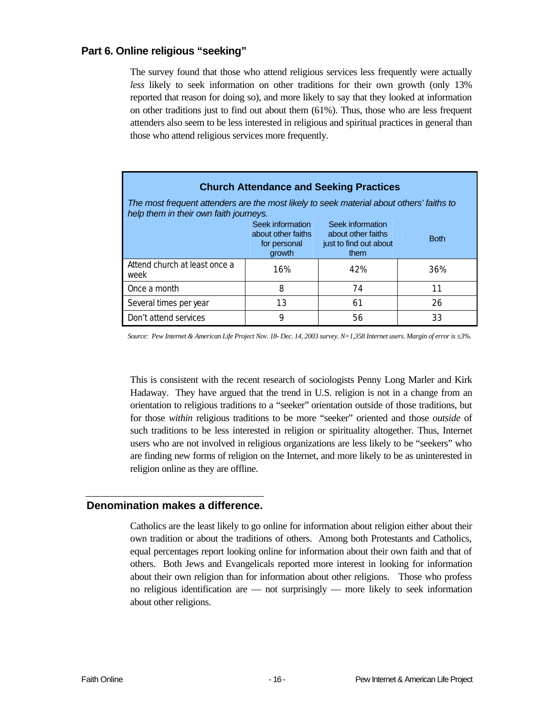#### **Part 6. Online religious "seeking"**

The survey found that those who attend religious services less frequently were actually *less* likely to seek information on other traditions for their own growth (only 13% reported that reason for doing so), and more likely to say that they looked at information on other traditions just to find out about them (61%). Thus, those who are less frequent attenders also seem to be less interested in religious and spiritual practices in general than those who attend religious services more frequently.

| <b>Church Attendance and Seeking Practices</b>                                                                                                              |     |     |     |  |
|-------------------------------------------------------------------------------------------------------------------------------------------------------------|-----|-----|-----|--|
| The most frequent attenders are the most likely to seek material about others' faiths to<br>help them in their own faith journeys.                          |     |     |     |  |
| Seek information<br>Seek information<br>about other faiths<br>about other faiths<br><b>Both</b><br>just to find out about<br>for personal<br>growth<br>them |     |     |     |  |
| Attend church at least once a<br>week                                                                                                                       | 16% | 42% | 36% |  |
| Once a month                                                                                                                                                | 8   | 74  | 11  |  |
| Several times per year                                                                                                                                      | 13  | 61  | 26  |  |
| Don't attend services                                                                                                                                       | 9   | 56  | 33  |  |

*Source: Pew Internet & American Life Project Nov. 18- Dec. 14, 2003 survey. N=1,358 Internet users. Margin of error is ±3%.* 

This is consistent with the recent research of sociologists Penny Long Marler and Kirk Hadaway. They have argued that the trend in U.S. religion is not in a change from an orientation to religious traditions to a "seeker" orientation outside of those traditions, but for those *within* religious traditions to be more "seeker" oriented and those *outside* of such traditions to be less interested in religion or spirituality altogether. Thus, Internet users who are not involved in religious organizations are less likely to be "seekers" who are finding new forms of religion on the Internet, and more likely to be as uninterested in religion online as they are offline.

#### **Denomination makes a difference.**

Catholics are the least likely to go online for information about religion either about their own tradition or about the traditions of others. Among both Protestants and Catholics, equal percentages report looking online for information about their own faith and that of others. Both Jews and Evangelicals reported more interest in looking for information about their own religion than for information about other religions. Those who profess no religious identification are — not surprisingly — more likely to seek information about other religions.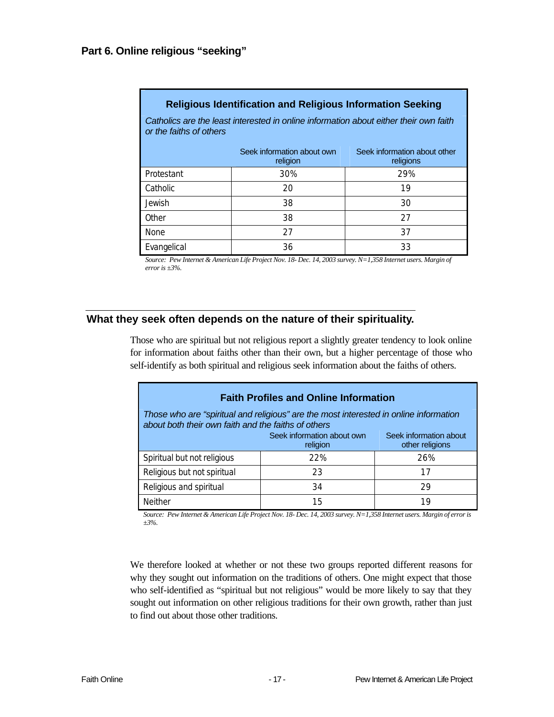| Catholics are the least interested in online information about either their own faith<br>or the faiths of others |                                        |                                           |  |
|------------------------------------------------------------------------------------------------------------------|----------------------------------------|-------------------------------------------|--|
|                                                                                                                  | Seek information about own<br>religion | Seek information about other<br>religions |  |
| Protestant                                                                                                       | 30%                                    | 29%                                       |  |
| Catholic                                                                                                         | 20                                     | 19                                        |  |
| <b>Jewish</b>                                                                                                    | 38                                     | 30                                        |  |
| Other                                                                                                            | 38                                     | 27                                        |  |
| <b>None</b>                                                                                                      | 27                                     | 37                                        |  |
| Evangelical                                                                                                      | 36                                     | 33                                        |  |

#### **Religious Identification and Religious Information Seeking**

*Source: Pew Internet & American Life Project Nov. 18- Dec. 14, 2003 survey. N=1,358 Internet users. Margin of error is ±3%.*

#### **What they seek often depends on the nature of their spirituality.**

Those who are spiritual but not religious report a slightly greater tendency to look online for information about faiths other than their own, but a higher percentage of those who self-identify as both spiritual and religious seek information about the faiths of others.

| <b>Faith Profiles and Online Information</b>                                                                                                 |     |     |  |  |
|----------------------------------------------------------------------------------------------------------------------------------------------|-----|-----|--|--|
| Those who are "spiritual and religious" are the most interested in online information<br>about both their own faith and the faiths of others |     |     |  |  |
| Seek information about own<br>Seek information about<br>other religions<br>religion                                                          |     |     |  |  |
| Spiritual but not religious                                                                                                                  | 22% | 26% |  |  |
| Religious but not spiritual                                                                                                                  | 23  | 17  |  |  |
| Religious and spiritual                                                                                                                      | 34  | 29  |  |  |
| <b>Neither</b>                                                                                                                               | 15  | 19  |  |  |

*Source: Pew Internet & American Life Project Nov. 18- Dec. 14, 2003 survey. N=1,358 Internet users. Margin of error is ±3%.* 

We therefore looked at whether or not these two groups reported different reasons for why they sought out information on the traditions of others. One might expect that those who self-identified as "spiritual but not religious" would be more likely to say that they sought out information on other religious traditions for their own growth, rather than just to find out about those other traditions.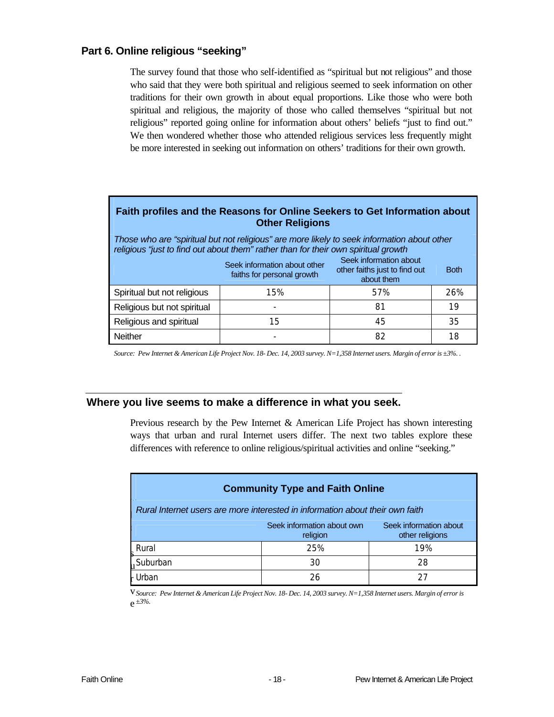#### **Part 6. Online religious "seeking"**

The survey found that those who self-identified as "spiritual but not religious" and those who said that they were both spiritual and religious seemed to seek information on other traditions for their own growth in about equal proportions. Like those who were both spiritual and religious, the majority of those who called themselves "spiritual but not religious" reported going online for information about others' beliefs "just to find out." We then wondered whether those who attended religious services less frequently might be more interested in seeking out information on others' traditions for their own growth.

#### **Faith profiles and the Reasons for Online Seekers to Get Information about Other Religions**

*Those who are "spiritual but not religious" are more likely to seek information about other religious "just to find out about them" rather than for their own spiritual growth*

|                             | Seek information about other<br>faiths for personal growth | Seek information about<br>other faiths just to find out<br>about them | <b>Both</b> |
|-----------------------------|------------------------------------------------------------|-----------------------------------------------------------------------|-------------|
| Spiritual but not religious | 15%                                                        | 57%                                                                   | 26%         |
| Religious but not spiritual | $\overline{\phantom{a}}$                                   | 81                                                                    | 19          |
| Religious and spiritual     | 15                                                         | 45                                                                    | 35          |
| <b>Neither</b>              | -                                                          | 82                                                                    | 18          |

*Source: Pew Internet & American Life Project Nov. 18- Dec. 14, 2003 survey. N=1,358 Internet users. Margin of error is ±3%. .*

#### **Where you live seems to make a difference in what you seek.**

Previous research by the Pew Internet & American Life Project has shown interesting ways that urban and rural Internet users differ. The next two tables explore these differences with reference to online religious/spiritual activities and online "seeking."

| <b>Community Type and Faith Online</b>                                        |                                        |                                           |  |  |  |
|-------------------------------------------------------------------------------|----------------------------------------|-------------------------------------------|--|--|--|
| Rural Internet users are more interested in information about their own faith |                                        |                                           |  |  |  |
|                                                                               | Seek information about own<br>religion | Seek information about<br>other religions |  |  |  |
| Rural                                                                         | 25%                                    | 19%                                       |  |  |  |
| ,Suburban                                                                     | 30                                     | 28                                        |  |  |  |
| - Urban                                                                       | 26                                     |                                           |  |  |  |

v *Source: Pew Internet & American Life Project Nov. 18- Dec. 14, 2003 survey. N=1,358 Internet users. Margin of error is*  e *±3%.*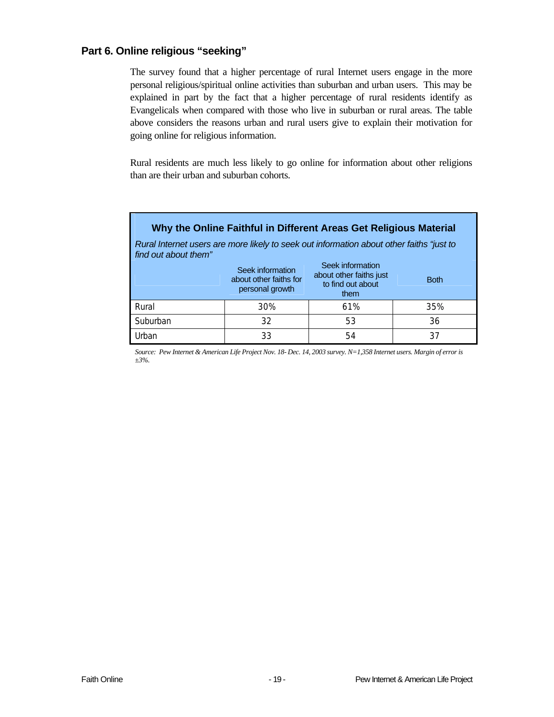#### **Part 6. Online religious "seeking"**

The survey found that a higher percentage of rural Internet users engage in the more personal religious/spiritual online activities than suburban and urban users. This may be explained in part by the fact that a higher percentage of rural residents identify as Evangelicals when compared with those who live in suburban or rural areas. The table above considers the reasons urban and rural users give to explain their motivation for going online for religious information.

Rural residents are much less likely to go online for information about other religions than are their urban and suburban cohorts.

| Why the Online Faithful in Different Areas Get Religious Material                                                |                                                               |                                                                          |             |  |  |
|------------------------------------------------------------------------------------------------------------------|---------------------------------------------------------------|--------------------------------------------------------------------------|-------------|--|--|
| Rural Internet users are more likely to seek out information about other faiths "just to<br>find out about them" |                                                               |                                                                          |             |  |  |
|                                                                                                                  | Seek information<br>about other faiths for<br>personal growth | Seek information<br>about other faiths just<br>to find out about<br>them | <b>Both</b> |  |  |
| Rural                                                                                                            | 30%                                                           | 61%                                                                      | 35%         |  |  |
| Suburban                                                                                                         | 32                                                            | 53                                                                       | 36          |  |  |
| Urban                                                                                                            | 33                                                            | 54                                                                       | 37          |  |  |

*Source: Pew Internet & American Life Project Nov. 18- Dec. 14, 2003 survey. N=1,358 Internet users. Margin of error is ±3%.*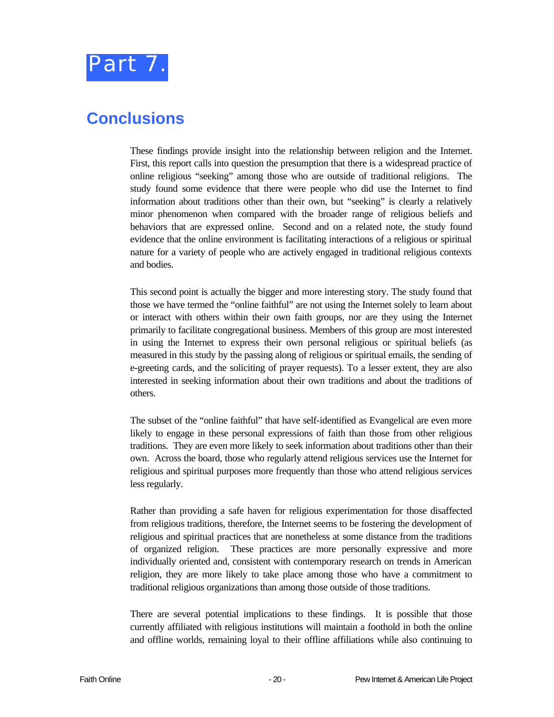

### **Conclusions**

These findings provide insight into the relationship between religion and the Internet. First, this report calls into question the presumption that there is a widespread practice of online religious "seeking" among those who are outside of traditional religions. The study found some evidence that there were people who did use the Internet to find information about traditions other than their own, but "seeking" is clearly a relatively minor phenomenon when compared with the broader range of religious beliefs and behaviors that are expressed online. Second and on a related note, the study found evidence that the online environment is facilitating interactions of a religious or spiritual nature for a variety of people who are actively engaged in traditional religious contexts and bodies.

This second point is actually the bigger and more interesting story. The study found that those we have termed the "online faithful" are not using the Internet solely to learn about or interact with others within their own faith groups, nor are they using the Internet primarily to facilitate congregational business. Members of this group are most interested in using the Internet to express their own personal religious or spiritual beliefs (as measured in this study by the passing along of religious or spiritual emails, the sending of e-greeting cards, and the soliciting of prayer requests). To a lesser extent, they are also interested in seeking information about their own traditions and about the traditions of others.

The subset of the "online faithful" that have self-identified as Evangelical are even more likely to engage in these personal expressions of faith than those from other religious traditions. They are even more likely to seek information about traditions other than their own. Across the board, those who regularly attend religious services use the Internet for religious and spiritual purposes more frequently than those who attend religious services less regularly.

Rather than providing a safe haven for religious experimentation for those disaffected from religious traditions, therefore, the Internet seems to be fostering the development of religious and spiritual practices that are nonetheless at some distance from the traditions of organized religion. These practices are more personally expressive and more individually oriented and, consistent with contemporary research on trends in American religion, they are more likely to take place among those who have a commitment to traditional religious organizations than among those outside of those traditions.

There are several potential implications to these findings. It is possible that those currently affiliated with religious institutions will maintain a foothold in both the online and offline worlds, remaining loyal to their offline affiliations while also continuing to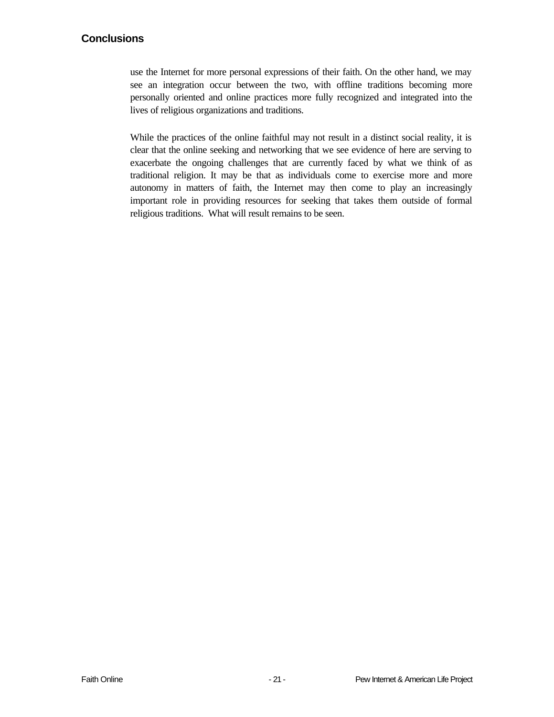#### **Conclusions**

use the Internet for more personal expressions of their faith. On the other hand, we may see an integration occur between the two, with offline traditions becoming more personally oriented and online practices more fully recognized and integrated into the lives of religious organizations and traditions.

While the practices of the online faithful may not result in a distinct social reality, it is clear that the online seeking and networking that we see evidence of here are serving to exacerbate the ongoing challenges that are currently faced by what we think of as traditional religion. It may be that as individuals come to exercise more and more autonomy in matters of faith, the Internet may then come to play an increasingly important role in providing resources for seeking that takes them outside of formal religious traditions. What will result remains to be seen.